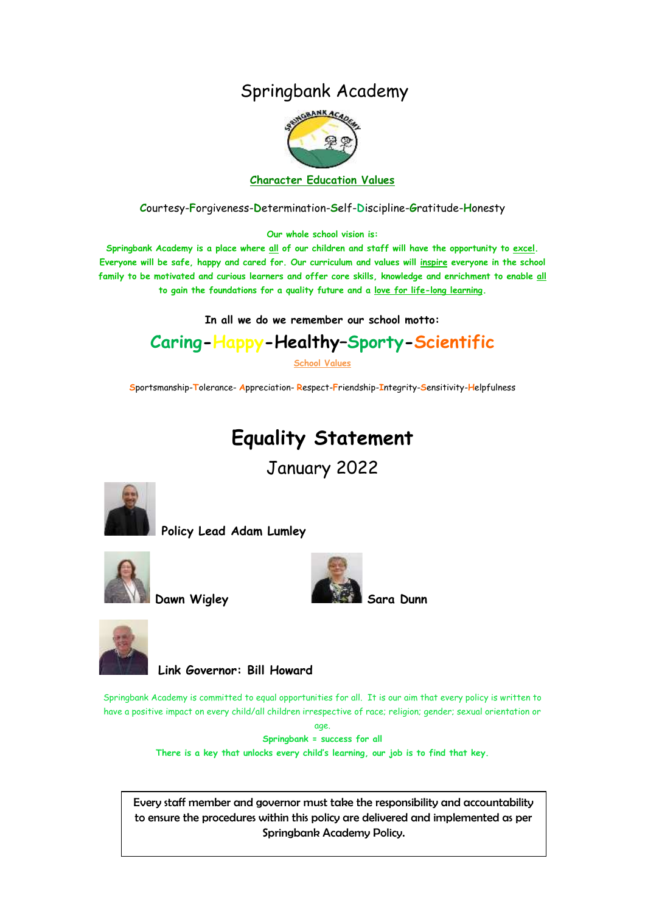# Springbank Academy



**C**ourtesy-**F**orgiveness-**D**etermination-**S**elf-**D**iscipline-**G**ratitude-**H**onesty

**Our whole school vision is:**

**Springbank Academy is a place where all of our children and staff will have the opportunity to excel. Everyone will be safe, happy and cared for. Our curriculum and values will inspire everyone in the school family to be motivated and curious learners and offer core skills, knowledge and enrichment to enable all to gain the foundations for a quality future and a love for life-long learning.**

**In all we do we remember our school motto:**

# **Caring-Happy-Healthy–Sporty-Scientific**

**School Values**

**S**portsmanship-**T**olerance- **A**ppreciation- **R**espect-**F**riendship-**I**ntegrity-**S**ensitivity-**H**elpfulness

# **Equality Statement**

January 2022



**Policy Lead Adam Lumley** 





**Dawn Wigley** 





 **Link Governor: Bill Howard**

Springbank Academy is committed to equal opportunities for all. It is our aim that every policy is written to have a positive impact on every child/all children irrespective of race; religion; gender; sexual orientation or age.

**Springbank = success for all**

**There is a key that unlocks every child's learning, our job is to find that key.**

Every staff member and governor must take the responsibility and accountability to ensure the procedures within this policy are delivered and implemented as per Springbank Academy Policy.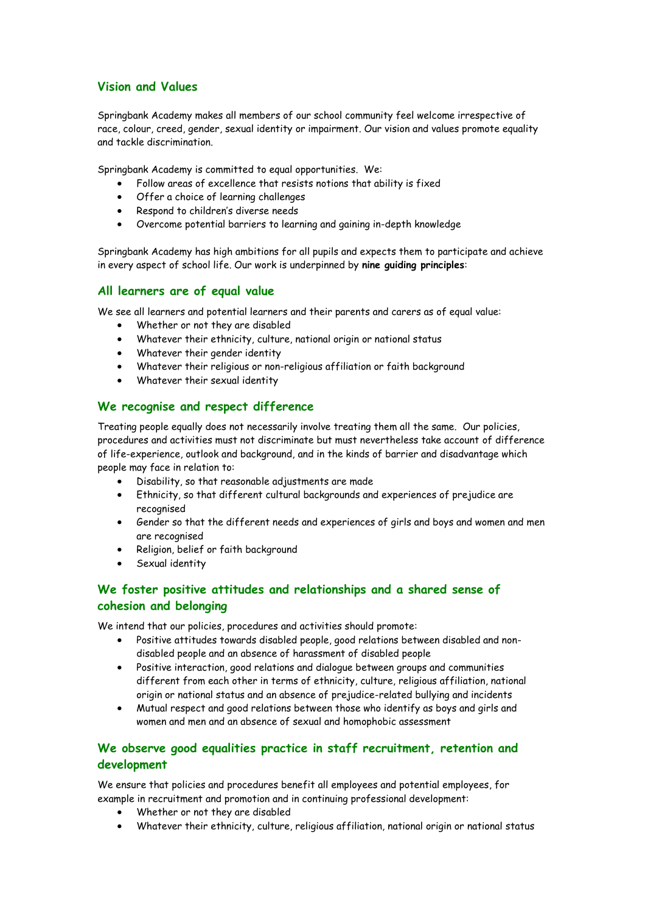# **Vision and Values**

Springbank Academy makes all members of our school community feel welcome irrespective of race, colour, creed, gender, sexual identity or impairment. Our vision and values promote equality and tackle discrimination.

Springbank Academy is committed to equal opportunities. We:

- Follow areas of excellence that resists notions that ability is fixed
- Offer a choice of learning challenges
- Respond to children's diverse needs
- Overcome potential barriers to learning and gaining in-depth knowledge

Springbank Academy has high ambitions for all pupils and expects them to participate and achieve in every aspect of school life. Our work is underpinned by **nine guiding principles**:

#### **All learners are of equal value**

We see all learners and potential learners and their parents and carers as of equal value:

- Whether or not they are disabled
- Whatever their ethnicity, culture, national origin or national status
- Whatever their gender identity
- Whatever their religious or non-religious affiliation or faith background
- Whatever their sexual identity

# **We recognise and respect difference**

Treating people equally does not necessarily involve treating them all the same. Our policies, procedures and activities must not discriminate but must nevertheless take account of difference of life-experience, outlook and background, and in the kinds of barrier and disadvantage which people may face in relation to:

- Disability, so that reasonable adjustments are made
- Ethnicity, so that different cultural backgrounds and experiences of prejudice are recognised
- Gender so that the different needs and experiences of girls and boys and women and men are recognised
- Religion, belief or faith background
- Sexual identity

# **We foster positive attitudes and relationships and a shared sense of cohesion and belonging**

We intend that our policies, procedures and activities should promote:

- Positive attitudes towards disabled people, good relations between disabled and nondisabled people and an absence of harassment of disabled people
- Positive interaction, good relations and dialogue between groups and communities different from each other in terms of ethnicity, culture, religious affiliation, national origin or national status and an absence of prejudice-related bullying and incidents
- Mutual respect and good relations between those who identify as boys and girls and women and men and an absence of sexual and homophobic assessment

# **We observe good equalities practice in staff recruitment, retention and development**

We ensure that policies and procedures benefit all employees and potential employees, for example in recruitment and promotion and in continuing professional development:

- Whether or not they are disabled
- Whatever their ethnicity, culture, religious affiliation, national origin or national status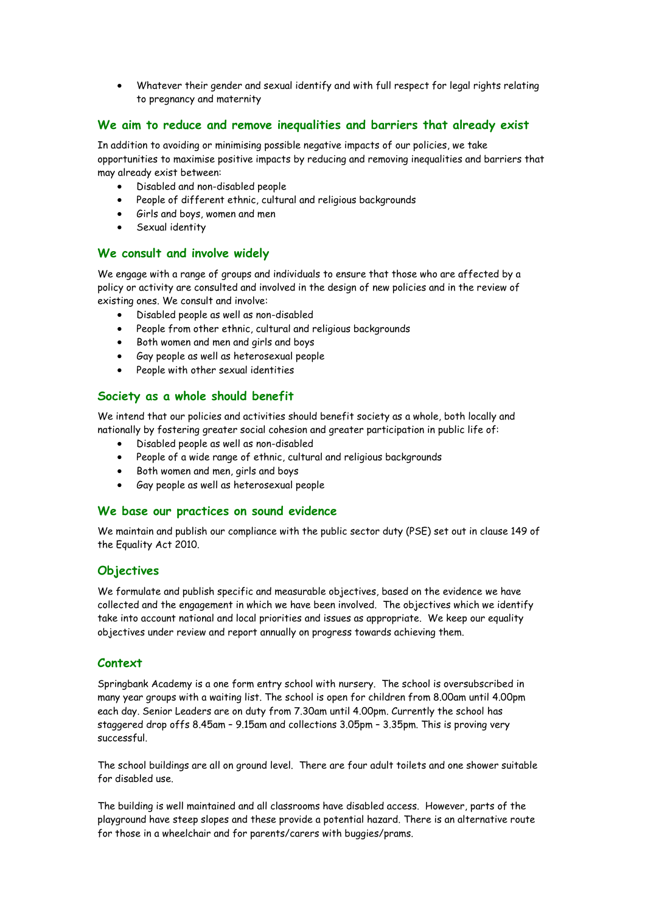Whatever their gender and sexual identify and with full respect for legal rights relating to pregnancy and maternity

### **We aim to reduce and remove inequalities and barriers that already exist**

In addition to avoiding or minimising possible negative impacts of our policies, we take opportunities to maximise positive impacts by reducing and removing inequalities and barriers that may already exist between:

- Disabled and non-disabled people
- People of different ethnic, cultural and religious backgrounds
- Girls and boys, women and men
- Sexual identity

#### **We consult and involve widely**

We engage with a range of groups and individuals to ensure that those who are affected by a policy or activity are consulted and involved in the design of new policies and in the review of existing ones. We consult and involve:

- Disabled people as well as non-disabled
- People from other ethnic, cultural and religious backgrounds
- Both women and men and girls and boys
- Gay people as well as heterosexual people
- People with other sexual identities

# **Society as a whole should benefit**

We intend that our policies and activities should benefit society as a whole, both locally and nationally by fostering greater social cohesion and greater participation in public life of:

- Disabled people as well as non-disabled
- People of a wide range of ethnic, cultural and religious backgrounds
- Both women and men, girls and boys
- Gay people as well as heterosexual people

#### **We base our practices on sound evidence**

We maintain and publish our compliance with the public sector duty (PSE) set out in clause 149 of the Equality Act 2010.

#### **Objectives**

We formulate and publish specific and measurable objectives, based on the evidence we have collected and the engagement in which we have been involved. The objectives which we identify take into account national and local priorities and issues as appropriate. We keep our equality objectives under review and report annually on progress towards achieving them.

# **Context**

Springbank Academy is a one form entry school with nursery. The school is oversubscribed in many year groups with a waiting list. The school is open for children from 8.00am until 4.00pm each day. Senior Leaders are on duty from 7.30am until 4.00pm. Currently the school has staggered drop offs 8.45am – 9.15am and collections 3.05pm – 3.35pm. This is proving very successful.

The school buildings are all on ground level. There are four adult toilets and one shower suitable for disabled use.

The building is well maintained and all classrooms have disabled access. However, parts of the playground have steep slopes and these provide a potential hazard. There is an alternative route for those in a wheelchair and for parents/carers with buggies/prams.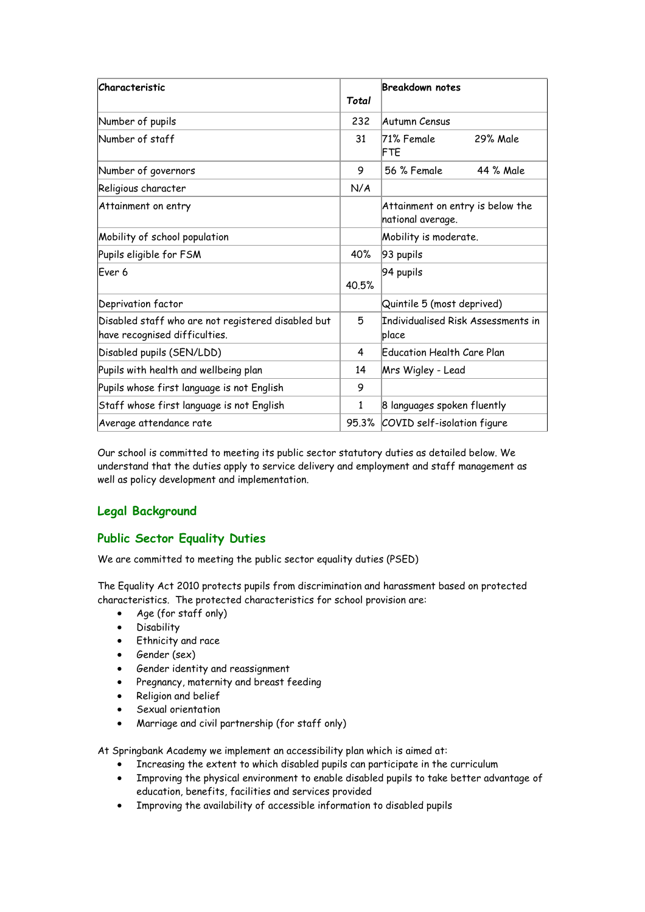| Characteristic                                                                      | Total | <b>Breakdown notes</b>                                |
|-------------------------------------------------------------------------------------|-------|-------------------------------------------------------|
| Number of pupils                                                                    | 232   | Autumn Census                                         |
| Number of staff                                                                     | 31    | 71% Female<br>29% Male<br>FTE                         |
| Number of governors                                                                 | 9     | 44 % Male<br>56 % Female                              |
| Religious character                                                                 | N/A   |                                                       |
| Attainment on entry                                                                 |       | Attainment on entry is below the<br>national average. |
| Mobility of school population                                                       |       | Mobility is moderate.                                 |
| Pupils eligible for FSM                                                             | 40%   | 93 pupils                                             |
| Ever <sub>6</sub>                                                                   | 40.5% | 94 pupils                                             |
| Deprivation factor                                                                  |       | Quintile 5 (most deprived)                            |
| Disabled staff who are not registered disabled but<br>have recognised difficulties. | 5     | Individualised Risk Assessments in<br>place           |
| Disabled pupils (SEN/LDD)                                                           | 4     | Education Health Care Plan                            |
| Pupils with health and wellbeing plan                                               | 14    | Mrs Wigley - Lead                                     |
| Pupils whose first language is not English                                          | 9     |                                                       |
| Staff whose first language is not English                                           | 1     | 8 languages spoken fluently                           |
| Average attendance rate                                                             |       | 95.3% COVID self-isolation figure                     |

Our school is committed to meeting its public sector statutory duties as detailed below. We understand that the duties apply to service delivery and employment and staff management as well as policy development and implementation.

# **Legal Background**

# **Public Sector Equality Duties**

We are committed to meeting the public sector equality duties (PSED)

The Equality Act 2010 protects pupils from discrimination and harassment based on protected characteristics. The protected characteristics for school provision are:

- Age (for staff only)
- **•** Disability
- Ethnicity and race
- Gender (sex)
- Gender identity and reassignment
- Pregnancy, maternity and breast feeding
- Religion and belief
- Sexual orientation
- Marriage and civil partnership (for staff only)

At Springbank Academy we implement an accessibility plan which is aimed at:

- Increasing the extent to which disabled pupils can participate in the curriculum
- Improving the physical environment to enable disabled pupils to take better advantage of education, benefits, facilities and services provided
- Improving the availability of accessible information to disabled pupils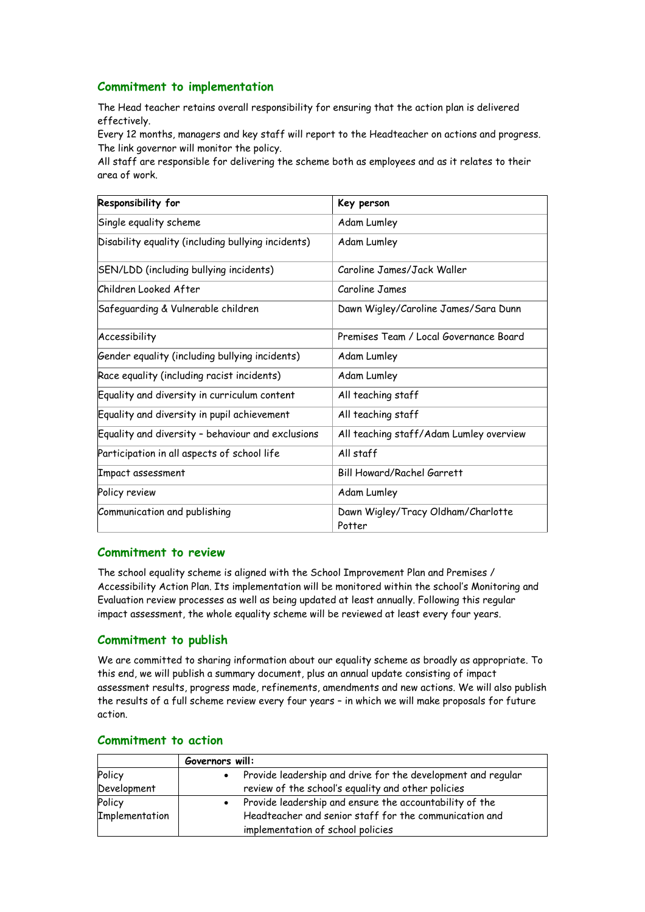# **Commitment to implementation**

The Head teacher retains overall responsibility for ensuring that the action plan is delivered effectively.

Every 12 months, managers and key staff will report to the Headteacher on actions and progress. The link governor will monitor the policy.

All staff are responsible for delivering the scheme both as employees and as it relates to their area of work.

| Responsibility for                                 | Key person                                   |
|----------------------------------------------------|----------------------------------------------|
| Single equality scheme                             | Adam Lumley                                  |
| Disability equality (including bullying incidents) | Adam Lumley                                  |
| SEN/LDD (including bullying incidents)             | Caroline James/Jack Waller                   |
| Children Looked After                              | Caroline James                               |
| Safeguarding & Vulnerable children                 | Dawn Wigley/Caroline James/Sara Dunn         |
| Accessibility                                      | Premises Team / Local Governance Board       |
| Gender equality (including bullying incidents)     | Adam Lumley                                  |
| Race equality (including racist incidents)         | Adam Lumley                                  |
| Equality and diversity in curriculum content       | All teaching staff                           |
| Equality and diversity in pupil achievement        | All teaching staff                           |
| Equality and diversity - behaviour and exclusions  | All teaching staff/Adam Lumley overview      |
| Participation in all aspects of school life        | All staff                                    |
| Impact assessment                                  | <b>Bill Howard/Rachel Garrett</b>            |
| Policy review                                      | Adam Lumley                                  |
| Communication and publishing                       | Dawn Wigley/Tracy Oldham/Charlotte<br>Potter |

#### **Commitment to review**

The school equality scheme is aligned with the School Improvement Plan and Premises / Accessibility Action Plan. Its implementation will be monitored within the school's Monitoring and Evaluation review processes as well as being updated at least annually. Following this regular impact assessment, the whole equality scheme will be reviewed at least every four years.

#### **Commitment to publish**

We are committed to sharing information about our equality scheme as broadly as appropriate. To this end, we will publish a summary document, plus an annual update consisting of impact assessment results, progress made, refinements, amendments and new actions. We will also publish the results of a full scheme review every four years – in which we will make proposals for future action.

|                | Governors will:                                                                             |  |
|----------------|---------------------------------------------------------------------------------------------|--|
| Policy         | Provide leadership and drive for the development and regular                                |  |
| Development    | review of the school's equality and other policies                                          |  |
| Policy         | Provide leadership and ensure the accountability of the<br>$\bullet$                        |  |
| Implementation | Headteacher and senior staff for the communication and<br>implementation of school policies |  |

#### **Commitment to action**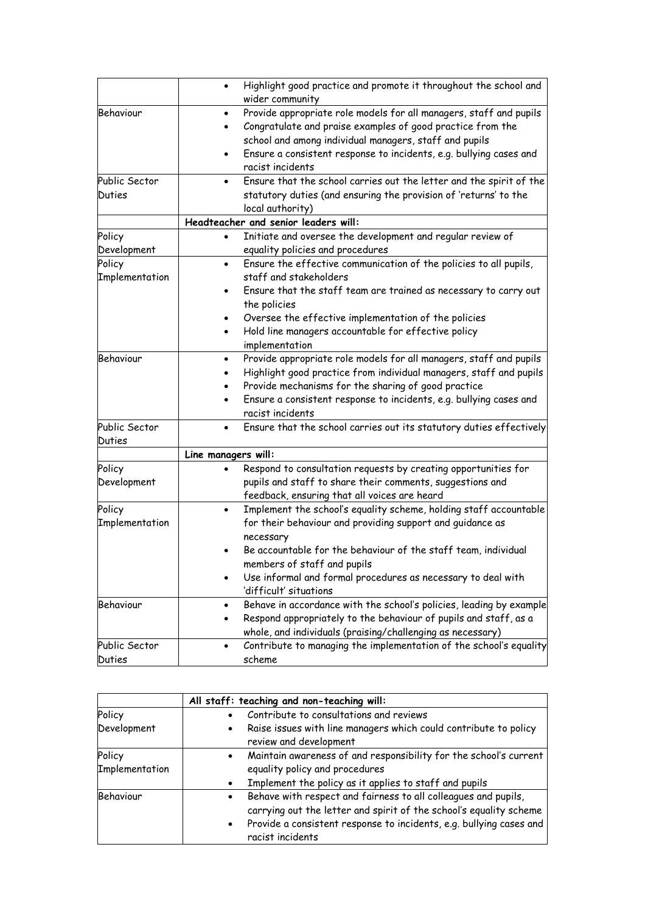|                                 | Highlight good practice and promote it throughout the school and<br>$\bullet$                                                                                                                                                                                                                                                                       |
|---------------------------------|-----------------------------------------------------------------------------------------------------------------------------------------------------------------------------------------------------------------------------------------------------------------------------------------------------------------------------------------------------|
| Behaviour                       | wider community<br>Provide appropriate role models for all managers, staff and pupils<br>$\bullet$<br>Congratulate and praise examples of good practice from the<br>school and among individual managers, staff and pupils<br>Ensure a consistent response to incidents, e.g. bullying cases and<br>$\bullet$<br>racist incidents                   |
| Public Sector<br><b>Duties</b>  | Ensure that the school carries out the letter and the spirit of the<br>statutory duties (and ensuring the provision of 'returns' to the<br>local authority)                                                                                                                                                                                         |
|                                 | Headteacher and senior leaders will:                                                                                                                                                                                                                                                                                                                |
| Policy<br>Development<br>Policy | Initiate and oversee the development and regular review of<br>$\bullet$<br>equality policies and procedures<br>Ensure the effective communication of the policies to all pupils,<br>$\bullet$                                                                                                                                                       |
| Implementation                  | staff and stakeholders<br>Ensure that the staff team are trained as necessary to carry out<br>the policies<br>Oversee the effective implementation of the policies<br>Hold line managers accountable for effective policy<br>implementation                                                                                                         |
| Behaviour                       | Provide appropriate role models for all managers, staff and pupils<br>٠<br>Highlight good practice from individual managers, staff and pupils<br>Provide mechanisms for the sharing of good practice<br>Ensure a consistent response to incidents, e.g. bullying cases and<br>$\bullet$<br>racist incidents                                         |
| Public Sector<br>Duties         | Ensure that the school carries out its statutory duties effectively                                                                                                                                                                                                                                                                                 |
|                                 | Line managers will:                                                                                                                                                                                                                                                                                                                                 |
| Policy<br>Development           | Respond to consultation requests by creating opportunities for<br>pupils and staff to share their comments, suggestions and<br>feedback, ensuring that all voices are heard                                                                                                                                                                         |
| Policy<br>Implementation        | Implement the school's equality scheme, holding staff accountable<br>$\bullet$<br>for their behaviour and providing support and guidance as<br>necessary<br>Be accountable for the behaviour of the staff team, individual<br>members of staff and pupils<br>Use informal and formal procedures as necessary to deal with<br>'difficult' situations |
| Behaviour                       | Behave in accordance with the school's policies, leading by example<br>Respond appropriately to the behaviour of pupils and staff, as a<br>whole, and individuals (praising/challenging as necessary)                                                                                                                                               |
| Public Sector<br>Duties         | Contribute to managing the implementation of the school's equality<br>$\bullet$<br>scheme                                                                                                                                                                                                                                                           |

|                | All staff: teaching and non-teaching will:                                                                                                                                                                                           |  |
|----------------|--------------------------------------------------------------------------------------------------------------------------------------------------------------------------------------------------------------------------------------|--|
| Policy         | Contribute to consultations and reviews                                                                                                                                                                                              |  |
| Development    | Raise issues with line managers which could contribute to policy<br>review and development                                                                                                                                           |  |
| Policy         | Maintain awareness of and responsibility for the school's current                                                                                                                                                                    |  |
| Implementation | equality policy and procedures<br>Implement the policy as it applies to staff and pupils                                                                                                                                             |  |
| Behaviour      | Behave with respect and fairness to all colleagues and pupils,<br>carrying out the letter and spirit of the school's equality scheme<br>Provide a consistent response to incidents, e.g. bullying cases and<br>٠<br>racist incidents |  |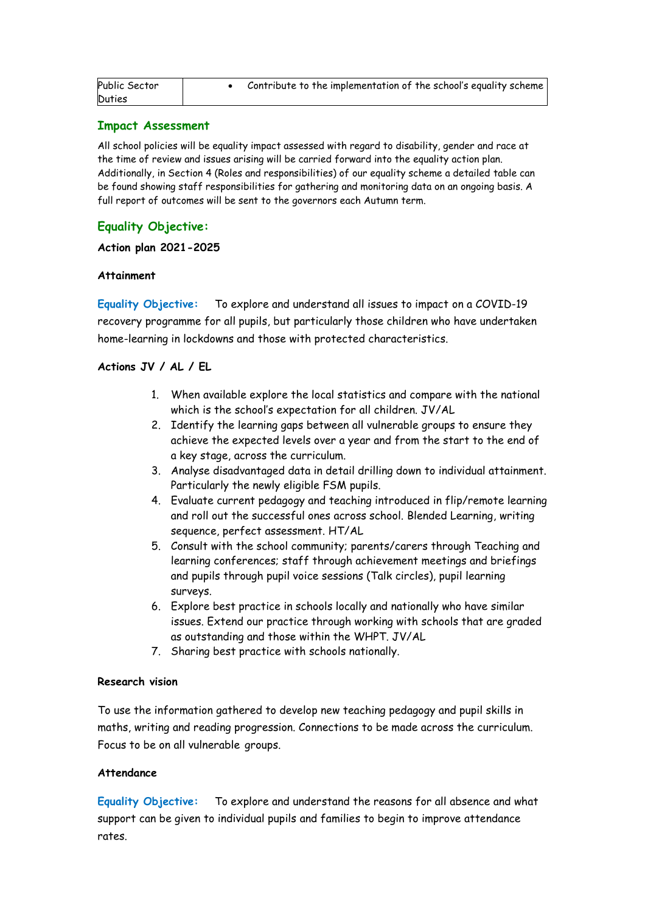| Public Sector | Contribute to the implementation of the school's equality scheme |
|---------------|------------------------------------------------------------------|
| Duties        |                                                                  |

#### **Impact Assessment**

All school policies will be equality impact assessed with regard to disability, gender and race at the time of review and issues arising will be carried forward into the equality action plan. Additionally, in Section 4 (Roles and responsibilities) of our equality scheme a detailed table can be found showing staff responsibilities for gathering and monitoring data on an ongoing basis. A full report of outcomes will be sent to the governors each Autumn term.

# **Equality Objective:**

#### **Action plan 2021-2025**

#### **Attainment**

**Equality Objective:** To explore and understand all issues to impact on a COVID-19 recovery programme for all pupils, but particularly those children who have undertaken home-learning in lockdowns and those with protected characteristics.

# **Actions JV / AL / EL**

- 1. When available explore the local statistics and compare with the national which is the school's expectation for all children. JV/AL
- 2. Identify the learning gaps between all vulnerable groups to ensure they achieve the expected levels over a year and from the start to the end of a key stage, across the curriculum.
- 3. Analyse disadvantaged data in detail drilling down to individual attainment. Particularly the newly eligible FSM pupils.
- 4. Evaluate current pedagogy and teaching introduced in flip/remote learning and roll out the successful ones across school. Blended Learning, writing sequence, perfect assessment. HT/AL
- 5. Consult with the school community; parents/carers through Teaching and learning conferences; staff through achievement meetings and briefings and pupils through pupil voice sessions (Talk circles), pupil learning surveys.
- 6. Explore best practice in schools locally and nationally who have similar issues. Extend our practice through working with schools that are graded as outstanding and those within the WHPT. JV/AL
- 7. Sharing best practice with schools nationally.

#### **Research vision**

To use the information gathered to develop new teaching pedagogy and pupil skills in maths, writing and reading progression. Connections to be made across the curriculum. Focus to be on all vulnerable groups.

# **Attendance**

**Equality Objective:** To explore and understand the reasons for all absence and what support can be given to individual pupils and families to begin to improve attendance rates.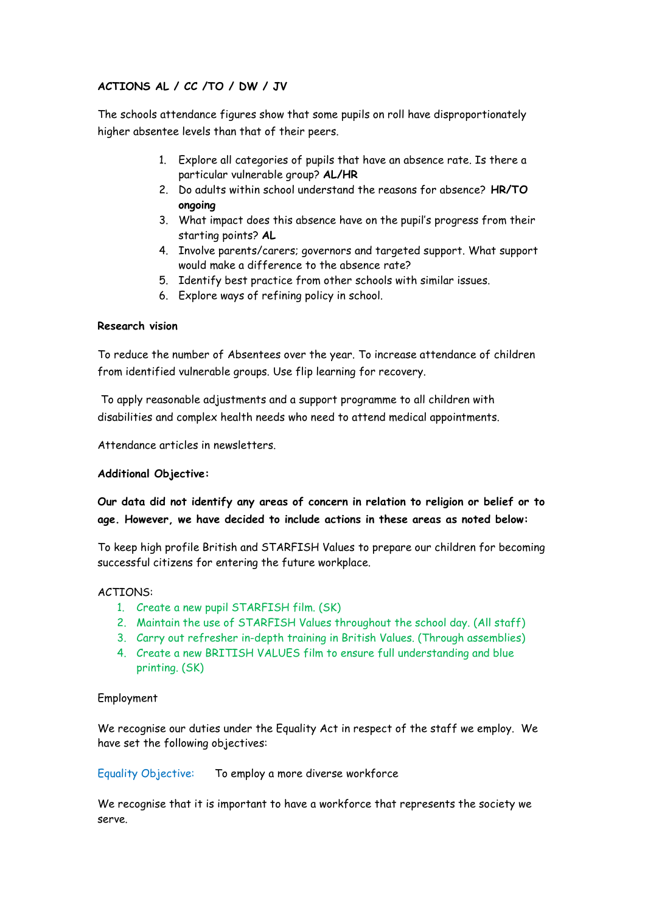# **ACTIONS AL / CC /TO / DW / JV**

The schools attendance figures show that some pupils on roll have disproportionately higher absentee levels than that of their peers.

- 1. Explore all categories of pupils that have an absence rate. Is there a particular vulnerable group? **AL/HR**
- 2. Do adults within school understand the reasons for absence? **HR/TO ongoing**
- 3. What impact does this absence have on the pupil's progress from their starting points? **AL**
- 4. Involve parents/carers; governors and targeted support. What support would make a difference to the absence rate?
- 5. Identify best practice from other schools with similar issues.
- 6. Explore ways of refining policy in school.

# **Research vision**

To reduce the number of Absentees over the year. To increase attendance of children from identified vulnerable groups. Use flip learning for recovery.

To apply reasonable adjustments and a support programme to all children with disabilities and complex health needs who need to attend medical appointments.

Attendance articles in newsletters.

# **Additional Objective:**

**Our data did not identify any areas of concern in relation to religion or belief or to age. However, we have decided to include actions in these areas as noted below:**

To keep high profile British and STARFISH Values to prepare our children for becoming successful citizens for entering the future workplace.

#### ACTIONS:

- 1. Create a new pupil STARFISH film. (SK)
- 2. Maintain the use of STARFISH Values throughout the school day. (All staff)
- 3. Carry out refresher in-depth training in British Values. (Through assemblies)
- 4. Create a new BRITISH VALUES film to ensure full understanding and blue printing. (SK)

# Employment

We recognise our duties under the Equality Act in respect of the staff we employ. We have set the following objectives:

#### Equality Objective: To employ a more diverse workforce

We recognise that it is important to have a workforce that represents the society we serve.